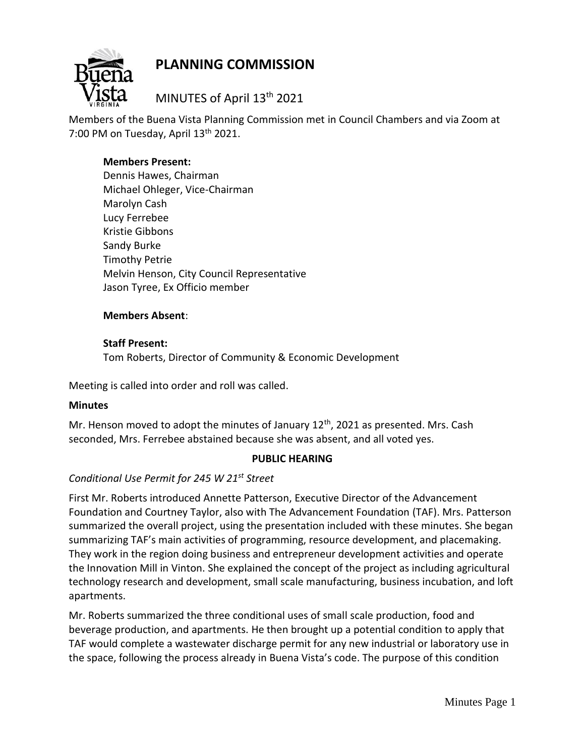

# **PLANNING COMMISSION**

MINUTES of April 13th 2021

Members of the Buena Vista Planning Commission met in Council Chambers and via Zoom at 7:00 PM on Tuesday, April  $13<sup>th</sup>$  2021.

### **Members Present:**

Dennis Hawes, Chairman Michael Ohleger, Vice-Chairman Marolyn Cash Lucy Ferrebee Kristie Gibbons Sandy Burke Timothy Petrie Melvin Henson, City Council Representative Jason Tyree, Ex Officio member

#### **Members Absent**:

## **Staff Present:** Tom Roberts, Director of Community & Economic Development

Meeting is called into order and roll was called.

#### **Minutes**

Mr. Henson moved to adopt the minutes of January  $12<sup>th</sup>$ , 2021 as presented. Mrs. Cash seconded, Mrs. Ferrebee abstained because she was absent, and all voted yes.

#### **PUBLIC HEARING**

## *Conditional Use Permit for 245 W 21st Street*

First Mr. Roberts introduced Annette Patterson, Executive Director of the Advancement Foundation and Courtney Taylor, also with The Advancement Foundation (TAF). Mrs. Patterson summarized the overall project, using the presentation included with these minutes. She began summarizing TAF's main activities of programming, resource development, and placemaking. They work in the region doing business and entrepreneur development activities and operate the Innovation Mill in Vinton. She explained the concept of the project as including agricultural technology research and development, small scale manufacturing, business incubation, and loft apartments.

Mr. Roberts summarized the three conditional uses of small scale production, food and beverage production, and apartments. He then brought up a potential condition to apply that TAF would complete a wastewater discharge permit for any new industrial or laboratory use in the space, following the process already in Buena Vista's code. The purpose of this condition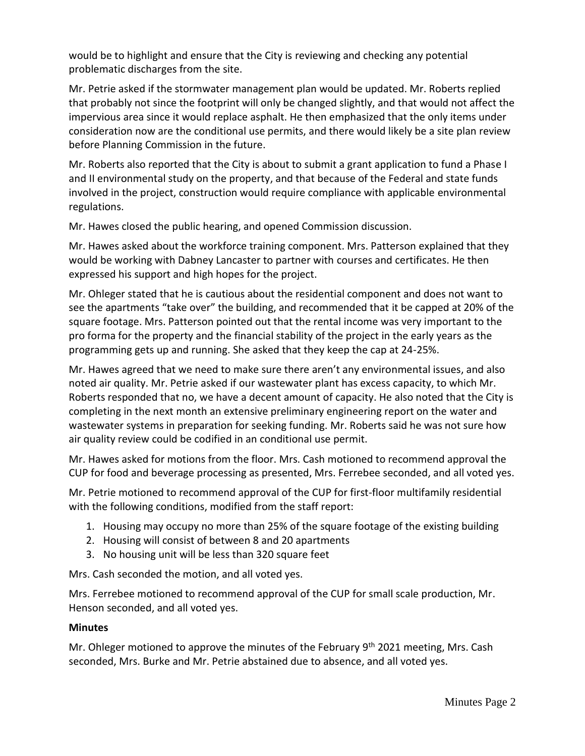would be to highlight and ensure that the City is reviewing and checking any potential problematic discharges from the site.

Mr. Petrie asked if the stormwater management plan would be updated. Mr. Roberts replied that probably not since the footprint will only be changed slightly, and that would not affect the impervious area since it would replace asphalt. He then emphasized that the only items under consideration now are the conditional use permits, and there would likely be a site plan review before Planning Commission in the future.

Mr. Roberts also reported that the City is about to submit a grant application to fund a Phase I and II environmental study on the property, and that because of the Federal and state funds involved in the project, construction would require compliance with applicable environmental regulations.

Mr. Hawes closed the public hearing, and opened Commission discussion.

Mr. Hawes asked about the workforce training component. Mrs. Patterson explained that they would be working with Dabney Lancaster to partner with courses and certificates. He then expressed his support and high hopes for the project.

Mr. Ohleger stated that he is cautious about the residential component and does not want to see the apartments "take over" the building, and recommended that it be capped at 20% of the square footage. Mrs. Patterson pointed out that the rental income was very important to the pro forma for the property and the financial stability of the project in the early years as the programming gets up and running. She asked that they keep the cap at 24-25%.

Mr. Hawes agreed that we need to make sure there aren't any environmental issues, and also noted air quality. Mr. Petrie asked if our wastewater plant has excess capacity, to which Mr. Roberts responded that no, we have a decent amount of capacity. He also noted that the City is completing in the next month an extensive preliminary engineering report on the water and wastewater systems in preparation for seeking funding. Mr. Roberts said he was not sure how air quality review could be codified in an conditional use permit.

Mr. Hawes asked for motions from the floor. Mrs. Cash motioned to recommend approval the CUP for food and beverage processing as presented, Mrs. Ferrebee seconded, and all voted yes.

Mr. Petrie motioned to recommend approval of the CUP for first-floor multifamily residential with the following conditions, modified from the staff report:

- 1. Housing may occupy no more than 25% of the square footage of the existing building
- 2. Housing will consist of between 8 and 20 apartments
- 3. No housing unit will be less than 320 square feet

Mrs. Cash seconded the motion, and all voted yes.

Mrs. Ferrebee motioned to recommend approval of the CUP for small scale production, Mr. Henson seconded, and all voted yes.

#### **Minutes**

Mr. Ohleger motioned to approve the minutes of the February 9<sup>th</sup> 2021 meeting, Mrs. Cash seconded, Mrs. Burke and Mr. Petrie abstained due to absence, and all voted yes.